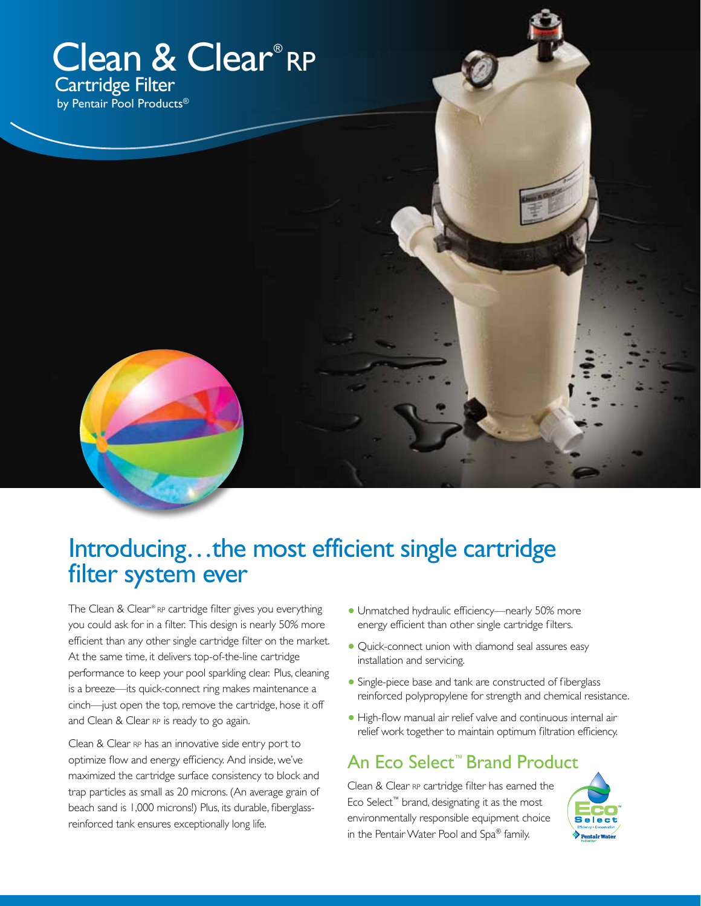### Clean & Clear®RP Cartridge Filter by Pentair Pool Products®

### Introducing...the most efficient single cartridge filter system ever

The Clean & Clear® RP cartridge filter gives you everything you could ask for in a filter. This design is nearly 50% more efficient than any other single cartridge filter on the market. At the same time, it delivers top-of-the-line cartridge performance to keep your pool sparkling clear. Plus, cleaning is a breeze—its quick-connect ring makes maintenance a cinch—just open the top, remove the cartridge, hose it off and Clean & Clear RP is ready to go again.

Clean & Clear RP has an innovative side entry port to optimize flow and energy efficiency. And inside, we've maximized the cartridge surface consistency to block and trap particles as small as 20 microns. (An average grain of beach sand is 1,000 microns!) Plus, its durable, fiberglassreinforced tank ensures exceptionally long life.

- **•** Unmatched hydraulic efficiency—nearly 50% more energy efficient than other single cartridge filters.
- **•** Quick-connect union with diamond seal assures easy installation and servicing.
- **•** Single-piece base and tank are constructed of fiberglass reinforced polypropylene for strength and chemical resistance.
- **•** High-flow manual air relief valve and continuous internal air relief work together to maintain optimum filtration efficiency.

#### An Eco Select™ Brand Product

Clean & Clear RP cartridge filter has earned the Eco Select™ brand, designating it as the most environmentally responsible equipment choice in the Pentair Water Pool and Spa® family.